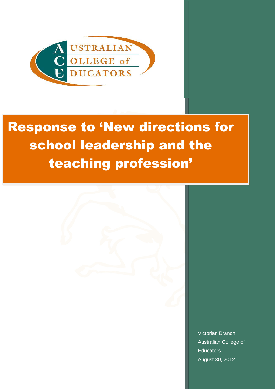

# Response to 'New directions for school leadership and the teaching profession'



Victorian Branch, Australian College of **Educators** August 30, 2012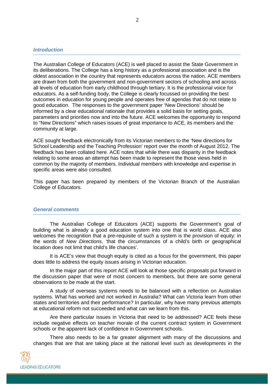## *Introduction*

The Australian College of Educators (ACE) is well placed to assist the State Government in its deliberations. The College has a long history as a professional association and is the oldest association in the country that represents educators across the nation. ACE members are drawn from both the government and non-government sectors of schooling and across all levels of education from early childhood through tertiary. It is the professional voice for educators. As a self-funding body, the College is clearly focussed on providing the best outcomes in education for young people and operates free of agendas that do not relate to good education. The responses to the government paper 'New Directions' should be informed by a clear educational rationale that provides a solid basis for setting goals, parameters and priorities now and into the future. ACE welcomes the opportunity to respond to "New Directions" which raises issues of great importance to ACE, its members and the community at large.

ACE sought feedback electronically from its Victorian members to the 'New directions for School Leadership and the Teaching Profession' report over the month of August 2012. The feedback has been collated here. ACE notes that while there was disparity in the feedback relating to some areas an attempt has been made to represent the those views held in common by the majority of members. Individual members with knowledge and expertise in specific areas were also consulted.

This paper has been prepared by members of the Victorian Branch of the Australian College of Educators.

#### *General comments*

The Australian College of Educators (ACE) supports the Government's goal of building what is already a good education system into one that is world class. ACE also welcomes the recognition that a pre-requisite of such a system is the provision of equity: in the words of *New Directions*, 'that the circumstances of a child's birth or geographical location does not limit that child's life chances'.

It is ACE's view that though equity is cited as a focus for the government, this paper does little to address the equity issues arising in Victorian education.

In the major part of this report ACE will look at those specific proposals put forward in the discussion paper that were of most concern to members, but there are some general observations to be made at the start.

A study of overseas systems needs to be balanced with a reflection on Australian systems. What has worked and not worked in Australia? What can Victoria learn from other states and territories and their performance? In particular, why have many previous attempts at educational reform not succeeded and what can we learn from this.

Are there particular issues in Victoria that need to be addressed? ACE feels these include negative effects on teacher morale of the current contract system in Government schools or the apparent lack of confidence in Government schools.

There also needs to be a far greater alignment with many of the discussions and changes that are that are taking place at the national level such as developments in the

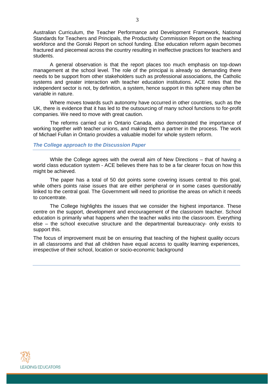Australian Curriculum, the Teacher Performance and Development Framework, National Standards for Teachers and Principals, the Productivity Commission Report on the teaching workforce and the Gonski Report on school funding. Else education reform again becomes fractured and piecemeal across the country resulting in ineffective practices for teachers and students.

A general observation is that the report places too much emphasis on top-down management at the school level. The role of the principal is already so demanding there needs to be support from other stakeholders such as professional associations, the Catholic systems and greater interaction with teacher education institutions. ACE notes that the independent sector is not, by definition, a system, hence support in this sphere may often be variable in nature.

Where moves towards such autonomy have occurred in other countries, such as the UK, there is evidence that it has led to the outsourcing of many school functions to for-profit companies. We need to move with great caution.

The reforms carried out in Ontario Canada, also demonstrated the importance of working together *with* teacher unions, and making them a partner in the process. The work of Michael Fullan in Ontario provides a valuable model for whole system reform.

## *The College approach to the Discussion Paper*

While the College agrees with the overall aim of New Directions – that of having a world class education system - ACE believes there has to be a far clearer focus on how this might be achieved.

The paper has a total of 50 dot points some covering issues central to this goal, while others points raise issues that are either peripheral or in some cases questionably linked to the central goal. The Government will need to prioritise the areas on which it needs to concentrate.

The College highlights the issues that we consider the highest importance. These centre on the support, development and encouragement of the classroom teacher. School education is primarily what happens when the teacher walks into the classroom. Everything else – the school executive structure and the departmental bureaucracy- only exists to support this.

The focus of improvement must be on ensuring that teaching of the highest quality occurs in all classrooms and that all children have equal access to quality learning experiences, irrespective of their school, location or socio-economic background

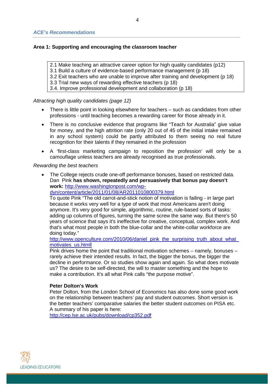# **Area 1: Supporting and encouraging the classroom teacher**

2.1 Make teaching an attractive career option for high quality candidates (p12)

- 3.1 Build a culture of evidence-based performance management (p 18)
- 3.2 Exit teachers who are unable to improve after training and development (p 18)

3.3 Trial new ways of rewarding effective teachers (p 18)

3.4. Improve professional development and collaboration (p 18)

*Attracting high quality candidates (page 12)*

- There is little point in looking elsewhere for teachers such as candidates from other professions - until teaching becomes a rewarding career for those already in it.
- There is no conclusive evidence that programs like "Teach for Australia" give value for money, and the high attrition rate (only 20 out of 45 of the initial intake remained in any school system) could be partly attributed to them seeing no real future recognition for their talents if they remained in the profession
- A 'first-class marketing campaign to reposition the profession' will only be a camouflage unless teachers are already recognised as true professionals.

## *Rewarding the best teachers*

• The College rejects crude one-off performance bonuses, based on restricted data. Dan Pink **has shown, repeatedly and persuasively that bonus pay doesn't work:** [http://www.washingtonpost.com/wp-](http://www.washingtonpost.com/wp-dyn/content/article/2011/01/08/AR2011010800379.html)

[dyn/content/article/2011/01/08/AR2011010800379.html](http://www.washingtonpost.com/wp-dyn/content/article/2011/01/08/AR2011010800379.html)

To quote Pink "The old carrot-and-stick notion of motivation is failing - in large part because it works very well for a type of work that most Americans aren't doing anymore. It's very good for simple, algorithmic, routine, rule-based sorts of tasks: adding up columns of figures, turning the same screw the same way. But there's 50 years of science that says it's ineffective for creative, conceptual, complex work. And that's what most people in both the blue-collar and the white-collar workforce are doing today."

http://www.openculture.com/2010/06/daniel\_pink\_the\_surprising\_truth\_about\_what [motivates\\_us.htmll](http://www.openculture.com/2010/06/daniel_pink_the_surprising_truth_about_what_motivates_us.htmll)

Pink drives home the point that traditional motivation schemes – namely, bonuses – rarely achieve their intended results. In fact, the bigger the bonus, the bigger the decline in performance. Or so studies show again and again. So what does motivate us? The desire to be self-directed, the will to master something and the hope to make a contribution. It's all what Pink calls "the purpose motive".

# **Peter Dolton's Work**

Peter Dolton, from the London School of Economics has also done some good work on the relationship between teachers' pay and student outcomes. Short version is the better teachers' comparative salaries the better student outcomes on PISA etc. A summary of his paper is here:

<http://cep.lse.ac.uk/pubs/download/cp352.pdf>

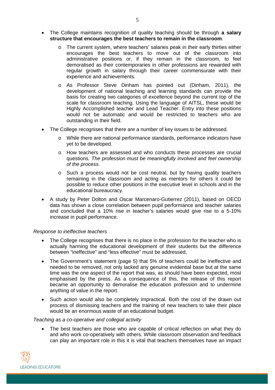- The College maintains recognition of quality teaching should be through **a salary structure that encourages the best teachers to remain in the classroom**.
	- o The current system, where teachers' salaries peak in their early thirties either encourages the best teachers to move out of the classroom into administrative positions or, if they remain in the classroom, to feel demoralised as their contemporaries in other professions are rewarded with regular growth in salary through their career commensurate with their experience and achievements.
	- o As Professor Steve Dinham has pointed out (Dinham, 2011), the development of national teaching and learning standards can provide the basis for creating two categories of excellence beyond the current top of the scale for classroom teaching. Using the language of AITSL, these would be Highly Accomplished teacher and Lead Teacher. Entry into these positions would not be automatic and would be restricted to teachers who are outstanding in their field.
- The College recognises that there are a number of key issues to be addressed.
	- o While there are national performance standards, performance indicators have yet to be developed.
	- o How teachers are assessed and who conducts these processes are crucial questions*. The profession must be meaningfully involved and feel ownership of the process.*
	- o Such a process would not be cost neutral, but by having quality teachers remaining in the classroom and acting as mentors for others it could be possible to reduce other positions in the executive level in schools and in the educational bureaucracy.
- A study by Peter Dolton and Oscar Marcenaro-Gutierrez (2011), based on OECD data has shown a close correlation between pupil performance and teacher salaries and concluded that a 10% rise in teacher's salaries would give rise to a 5-10% increase in pupil performance.

#### *Response to ineffective teachers*

- The College recognises that there is no place in the profession for the teacher who is actually harming the educational development of their students but the difference between "ineffective" and "less effective" must be addressed,
- The Government's statement (page 5) that 5% of teachers could be ineffective and needed to be removed, not only lacked any genuine evidential base but at the same time was the one aspect of the report that was, as should have been expected, most emphasised by the press. As a consequence of this, the release of this report became an opportunity to demoralise the education profession and to undermine anything of value in the report.
- Such action would also be completely impractical. Both the cost of the drawn out process of dismissing teachers and the training of new teachers to take their place would be an enormous waste of an educational budget.

#### *Teaching as a co-operative and collegial activity*

 The best teachers are those who are capable of critical reflection on what they do and who work co-operatively with others. While classroom observation and feedback can play an important role in this it is vital that teachers themselves have an impact

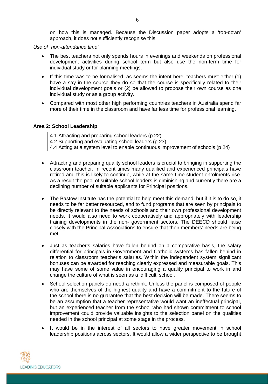on how this is managed. Because the Discussion paper adopts a 'top-down' approach, it does not sufficiently recognise this.

*Use of "non-attendance time"*

- The best teachers not only spends hours in evenings and weekends on professional development activities during school term but also use the non-term time for individual study or for planning meetings.
- If this time was to be formalised, as seems the intent here, teachers must either (1) have a say in the course they do so that the course is specifically related to their individual development goals or (2) be allowed to propose their own course as one individual study or as a group activity.
- Compared with most other high performing countries teachers in Australia spend far more of their time in the classroom and have far less time for professional learning.

#### **Area 2: School Leadership**

4.1 Attracting and preparing school leaders (p 22) 4.2 Supporting and evaluating school leaders (p 23) 4.4 Acting at a system level to enable continuous improvement of schools (p 24)

- Attracting and preparing quality school leaders is crucial to bringing in supporting the classroom teacher. In recent times many qualified and experienced principals have retired and this is likely to continue, while at the same time student enrolments rise. As a result the pool of suitable school leaders is diminishing and currently there are a declining number of suitable applicants for Principal positions.
- The Bastow Institute has the potential to help meet this demand, but if it is to do so, it needs to be far better resourced, and to fund programs that are seen by principals to be directly relevant to the needs of schools and their own professional development needs. It would also need to work cooperatively and appropriately with leadership training developments in the non- government sectors. The DEECD should liaise closely with the Principal Associations to ensure that their members' needs are being met.
- Just as teacher's salaries have fallen behind on a comparative basis, the salary differential for principals in Government and Catholic systems has fallen behind in relation to classroom teacher's salaries. Within the independent system significant bonuses can be awarded for reaching clearly expressed and measurable goals. This may have some of some value in encouraging a quality principal to work in and change the culture of what is seen as a 'difficult' school.
- School selection panels do need a rethink. Unless the panel is composed of people who are themselves of the highest quality and have a commitment to the future of the school there is no guarantee that the best decision will be made. There seems to be an assumption that a teacher representative would want an ineffectual principal, but an experienced teacher from the school who had shown commitment to school improvement could provide valuable insights to the selection panel on the qualities needed in the school principal at some stage in the process.
- It would be in the interest of all sectors to have greater movement in school leadership positions across sectors. It would allow a wider perspective to be brought

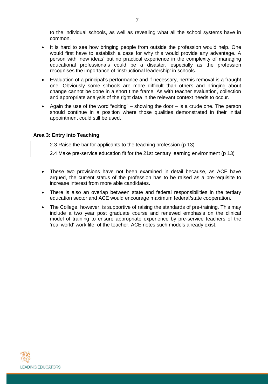to the individual schools, as well as revealing what all the school systems have in common.

- It is hard to see how bringing people from outside the profession would help. One would first have to establish a case for why this would provide any advantage. A person with 'new ideas' but no practical experience in the complexity of managing educational professionals could be a disaster, especially as the profession recognises the importance of 'instructional leadership' in schools.
- Evaluation of a principal's performance and if necessary, her/his removal is a fraught one. Obviously some schools are more difficult than others and bringing about change cannot be done in a short time frame. As with teacher evaluation, collection and appropriate analysis of the right data in the relevant context needs to occur.
- Again the use of the word "exiting" showing the door  $-$  is a crude one. The person should continue in a position where those qualities demonstrated in their initial appointment could still be used.

#### **Area 3: Entry into Teaching**

2.3 Raise the bar for applicants to the teaching profession (p 13) 2.4 Make pre-service education fit for the 21st century learning environment (p 13)

- These two provisions have not been examined in detail because, as ACE have argued, the current status of the profession has to be raised as a pre-requisite to increase interest from more able candidates.
- There is also an overlap between state and federal responsibilities in the tertiary education sector and ACE would encourage maximum federal/state cooperation.
- The College, however, is supportive of raising the standards of pre-training. This may include a two year post graduate course and renewed emphasis on the clinical model of training to ensure appropriate experience by pre-service teachers of the 'real world' work life of the teacher. ACE notes such models already exist.

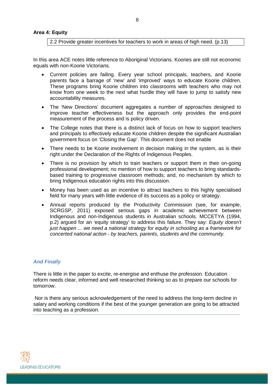2.2 Provide greater incentives for teachers to work in areas of high need. (p.13)

In this area ACE notes little reference to Aboriginal Victorians. Koories are still not economic equals with non-Koorie Victorians.

- Current policies are failing. Every year school principals, teachers, and Koorie parents face a barrage of 'new' and 'improved' ways to educate Koorie children. These programs bring Koorie children into classrooms with teachers who may not know from one week to the next what hurdle they will have to jump to satisfy new accountability measures.
- The 'New Directions' document aggregates a number of approaches designed to improve teacher effectiveness but the approach only provides the end-point measurement of the process and is policy driven.
- The College notes that there is a distinct lack of focus on how to support teachers and principals to effectively educate Koorie children despite the significant Australian government focus on 'Closing the Gap'. This document does not enable
- There needs to be Koorie involvement in decision making in the system, as is their right under the Declaration of the Rights of Indigenous Peoples.
- There is no provision by which to train teachers or support them in their on-going professional development; no mention of how to support teachers to bring standardsbased training to progressive classroom methods; and, no mechanism by which to bring Indigenous education rights into this discussion.
- Money has been used as an incentive to attract teachers to this highly specialised field for many years with little evidence of its success as a policy or strategy.
- Annual reports produced by the Productivity Commission (see, for example, SCRGSP, 2011) exposed serious gaps in academic achievement between Indigenous and non-Indigenous students in Australian schools. MCCETYA (1994, p.2) argued for an 'equity strategy' to address this failure. They say: *Equity doesn't just happen ... we need a national strategy for equity in schooling as a framework for concerted national action - by teachers, parents, students and the community.*

# *And Finally*

There is little in the paper to excite, re-energise and enthuse the profession. Education reform needs clear, informed and well researched thinking so as to prepare our schools for tomorrow.

Nor is there any serious acknowledgement of the need to address the long-term decline in salary and working conditions if the best of the younger generation are going to be attracted into teaching as a profession.